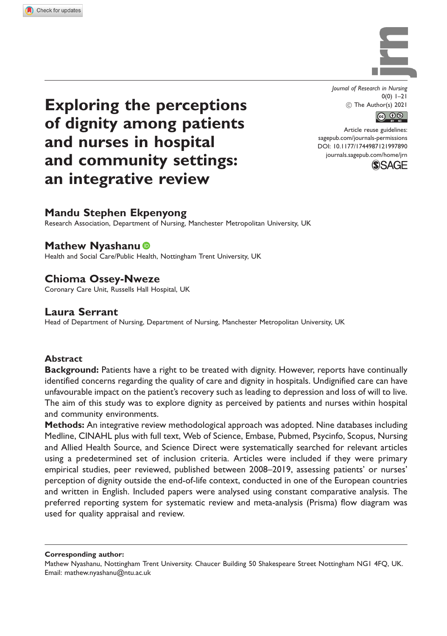

Journal of Research in Nursing  $0(0)$  1–21 ! The Author(s) 2021



Article reuse guidelines: [sagepub.com/journals-permissions](https://uk.sagepub.com/en-gb/journals-permissions) DOI: [10.1177/1744987121997890](https://doi.org/10.1177/1744987121997890) <journals.sagepub.com/home/jrn>



# Exploring the perceptions of dignity among patients and nurses in hospital and community settings: an integrative review

# Mandu Stephen Ekpenyong

Research Association, Department of Nursing, Manchester Metropolitan University, UK

# Mathew Nyashanu

Health and Social Care/Public Health, Nottingham Trent University, UK

# Chioma Ossey-Nweze

Coronary Care Unit, Russells Hall Hospital, UK

# Laura Serrant

Head of Department of Nursing, Department of Nursing, Manchester Metropolitan University, UK

## Abstract

**Background:** Patients have a right to be treated with dignity. However, reports have continually identified concerns regarding the quality of care and dignity in hospitals. Undignified care can have unfavourable impact on the patient's recovery such as leading to depression and loss of will to live. The aim of this study was to explore dignity as perceived by patients and nurses within hospital and community environments.

Methods: An integrative review methodological approach was adopted. Nine databases including Medline, CINAHL plus with full text, Web of Science, Embase, Pubmed, Psycinfo, Scopus, Nursing and Allied Health Source, and Science Direct were systematically searched for relevant articles using a predetermined set of inclusion criteria. Articles were included if they were primary empirical studies, peer reviewed, published between 2008–2019, assessing patients' or nurses' perception of dignity outside the end-of-life context, conducted in one of the European countries and written in English. Included papers were analysed using constant comparative analysis. The preferred reporting system for systematic review and meta-analysis (Prisma) flow diagram was used for quality appraisal and review.

Corresponding author:

Mathew Nyashanu, Nottingham Trent University. Chaucer Building 50 Shakespeare Street Nottingham NG1 4FQ, UK. Email: mathew.nyashanu@ntu.ac.uk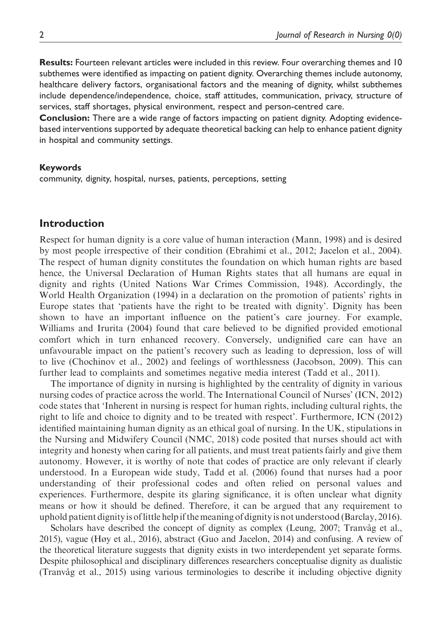Results: Fourteen relevant articles were included in this review. Four overarching themes and 10 subthemes were identified as impacting on patient dignity. Overarching themes include autonomy, healthcare delivery factors, organisational factors and the meaning of dignity, whilst subthemes include dependence/independence, choice, staff attitudes, communication, privacy, structure of services, staff shortages, physical environment, respect and person-centred care.

Conclusion: There are a wide range of factors impacting on patient dignity. Adopting evidencebased interventions supported by adequate theoretical backing can help to enhance patient dignity in hospital and community settings.

#### Keywords

community, dignity, hospital, nurses, patients, perceptions, setting

# Introduction

Respect for human dignity is a core value of human interaction (Mann, 1998) and is desired by most people irrespective of their condition (Ebrahimi et al., 2012; Jacelon et al., 2004). The respect of human dignity constitutes the foundation on which human rights are based hence, the Universal Declaration of Human Rights states that all humans are equal in dignity and rights (United Nations War Crimes Commission, 1948). Accordingly, the World Health Organization (1994) in a declaration on the promotion of patients' rights in Europe states that 'patients have the right to be treated with dignity'. Dignity has been shown to have an important influence on the patient's care journey. For example, Williams and Irurita (2004) found that care believed to be dignified provided emotional comfort which in turn enhanced recovery. Conversely, undignified care can have an unfavourable impact on the patient's recovery such as leading to depression, loss of will to live (Chochinov et al., 2002) and feelings of worthlessness (Jacobson, 2009). This can further lead to complaints and sometimes negative media interest (Tadd et al., 2011).

The importance of dignity in nursing is highlighted by the centrality of dignity in various nursing codes of practice across the world. The International Council of Nurses' (ICN, 2012) code states that 'Inherent in nursing is respect for human rights, including cultural rights, the right to life and choice to dignity and to be treated with respect'. Furthermore, ICN (2012) identified maintaining human dignity as an ethical goal of nursing. In the UK, stipulations in the Nursing and Midwifery Council (NMC, 2018) code posited that nurses should act with integrity and honesty when caring for all patients, and must treat patients fairly and give them autonomy. However, it is worthy of note that codes of practice are only relevant if clearly understood. In a European wide study, Tadd et al. (2006) found that nurses had a poor understanding of their professional codes and often relied on personal values and experiences. Furthermore, despite its glaring significance, it is often unclear what dignity means or how it should be defined. Therefore, it can be argued that any requirement to uphold patient dignity is oflittle help if themeaning of dignity is not understood (Barclay, 2016).

Scholars have described the concept of dignity as complex (Leung, 2007; Tranvåg et al., 2015), vague (Høy et al., 2016), abstract (Guo and Jacelon, 2014) and confusing. A review of the theoretical literature suggests that dignity exists in two interdependent yet separate forms. Despite philosophical and disciplinary differences researchers conceptualise dignity as dualistic (Tranvåg et al., 2015) using various terminologies to describe it including objective dignity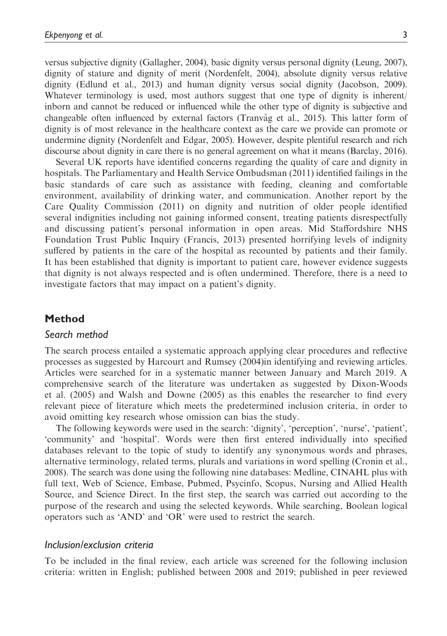versus subjective dignity (Gallagher, 2004), basic dignity versus personal dignity (Leung, 2007), dignity of stature and dignity of merit (Nordenfelt, 2004), absolute dignity versus relative dignity (Edlund et al., 2013) and human dignity versus social dignity (Jacobson, 2009). Whatever terminology is used, most authors suggest that one type of dignity is inherent/ inborn and cannot be reduced or influenced while the other type of dignity is subjective and changeable often influenced by external factors (Tranvåg et al., 2015). This latter form of dignity is of most relevance in the healthcare context as the care we provide can promote or undermine dignity (Nordenfelt and Edgar, 2005). However, despite plentiful research and rich discourse about dignity in care there is no general agreement on what it means (Barclay, 2016).

Several UK reports have identified concerns regarding the quality of care and dignity in hospitals. The Parliamentary and Health Service Ombudsman (2011) identified failings in the basic standards of care such as assistance with feeding, cleaning and comfortable environment, availability of drinking water, and communication. Another report by the Care Quality Commission (2011) on dignity and nutrition of older people identified several indignities including not gaining informed consent, treating patients disrespectfully and discussing patient's personal information in open areas. Mid Staffordshire NHS Foundation Trust Public Inquiry (Francis, 2013) presented horrifying levels of indignity suffered by patients in the care of the hospital as recounted by patients and their family. It has been established that dignity is important to patient care, however evidence suggests that dignity is not always respected and is often undermined. Therefore, there is a need to investigate factors that may impact on a patient's dignity.

## Method

## Search method

The search process entailed a systematic approach applying clear procedures and reflective processes as suggested by Harcourt and Rumsey (2004)in identifying and reviewing articles. Articles were searched for in a systematic manner between January and March 2019. A comprehensive search of the literature was undertaken as suggested by Dixon-Woods et al. (2005) and Walsh and Downe (2005) as this enables the researcher to find every relevant piece of literature which meets the predetermined inclusion criteria, in order to avoid omitting key research whose omission can bias the study.

The following keywords were used in the search: 'dignity', 'perception', 'nurse', 'patient', 'community' and 'hospital'. Words were then first entered individually into specified databases relevant to the topic of study to identify any synonymous words and phrases, alternative terminology, related terms, plurals and variations in word spelling (Cronin et al., 2008). The search was done using the following nine databases: Medline, CINAHL plus with full text, Web of Science, Embase, Pubmed, Psycinfo, Scopus, Nursing and Allied Health Source, and Science Direct. In the first step, the search was carried out according to the purpose of the research and using the selected keywords. While searching, Boolean logical operators such as 'AND' and 'OR' were used to restrict the search.

#### Inclusion/exclusion criteria

To be included in the final review, each article was screened for the following inclusion criteria: written in English; published between 2008 and 2019; published in peer reviewed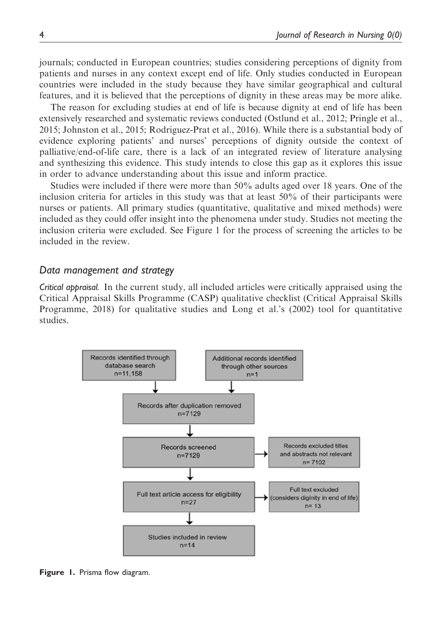journals; conducted in European countries; studies considering perceptions of dignity from patients and nurses in any context except end of life. Only studies conducted in European countries were included in the study because they have similar geographical and cultural features, and it is believed that the perceptions of dignity in these areas may be more alike.

The reason for excluding studies at end of life is because dignity at end of life has been extensively researched and systematic reviews conducted (Ostlund et al., 2012; Pringle et al., 2015; Johnston et al., 2015; Rodriguez-Prat et al., 2016). While there is a substantial body of evidence exploring patients' and nurses' perceptions of dignity outside the context of palliative/end-of-life care, there is a lack of an integrated review of literature analysing and synthesizing this evidence. This study intends to close this gap as it explores this issue in order to advance understanding about this issue and inform practice.

Studies were included if there were more than 50% adults aged over 18 years. One of the inclusion criteria for articles in this study was that at least 50% of their participants were nurses or patients. All primary studies (quantitative, qualitative and mixed methods) were included as they could offer insight into the phenomena under study. Studies not meeting the inclusion criteria were excluded. See Figure 1 for the process of screening the articles to be included in the review.

#### Data management and strategy

Critical appraisal. In the current study, all included articles were critically appraised using the Critical Appraisal Skills Programme (CASP) qualitative checklist (Critical Appraisal Skills Programme, 2018) for qualitative studies and Long et al.'s (2002) tool for quantitative studies.



Figure 1. Prisma flow diagram.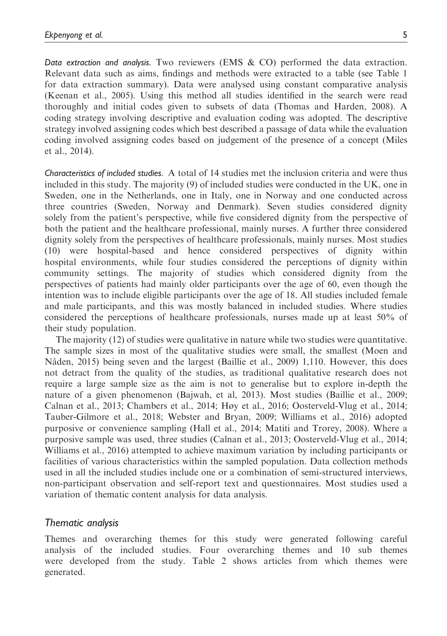Data extraction and analysis. Two reviewers (EMS  $&$  CO) performed the data extraction. Relevant data such as aims, findings and methods were extracted to a table (see Table 1 for data extraction summary). Data were analysed using constant comparative analysis (Keenan et al., 2005). Using this method all studies identified in the search were read thoroughly and initial codes given to subsets of data (Thomas and Harden, 2008). A coding strategy involving descriptive and evaluation coding was adopted. The descriptive strategy involved assigning codes which best described a passage of data while the evaluation coding involved assigning codes based on judgement of the presence of a concept (Miles et al., 2014).

Characteristics of included studies. A total of 14 studies met the inclusion criteria and were thus included in this study. The majority (9) of included studies were conducted in the UK, one in Sweden, one in the Netherlands, one in Italy, one in Norway and one conducted across three countries (Sweden, Norway and Denmark). Seven studies considered dignity solely from the patient's perspective, while five considered dignity from the perspective of both the patient and the healthcare professional, mainly nurses. A further three considered dignity solely from the perspectives of healthcare professionals, mainly nurses. Most studies (10) were hospital-based and hence considered perspectives of dignity within hospital environments, while four studies considered the perceptions of dignity within community settings. The majority of studies which considered dignity from the perspectives of patients had mainly older participants over the age of 60, even though the intention was to include eligible participants over the age of 18. All studies included female and male participants, and this was mostly balanced in included studies. Where studies considered the perceptions of healthcare professionals, nurses made up at least 50% of their study population.

The majority (12) of studies were qualitative in nature while two studies were quantitative. The sample sizes in most of the qualitative studies were small, the smallest (Moen and Nåden, 2015) being seven and the largest (Baillie et al., 2009) 1,110. However, this does not detract from the quality of the studies, as traditional qualitative research does not require a large sample size as the aim is not to generalise but to explore in-depth the nature of a given phenomenon (Bajwah, et al, 2013). Most studies (Baillie et al., 2009; Calnan et al., 2013; Chambers et al., 2014; Høy et al., 2016; Oosterveld-Vlug et al., 2014; Tauber-Gilmore et al., 2018; Webster and Bryan, 2009; Williams et al., 2016) adopted purposive or convenience sampling (Hall et al., 2014; Matiti and Trorey, 2008). Where a purposive sample was used, three studies (Calnan et al., 2013; Oosterveld-Vlug et al., 2014; Williams et al., 2016) attempted to achieve maximum variation by including participants or facilities of various characteristics within the sampled population. Data collection methods used in all the included studies include one or a combination of semi-structured interviews, non-participant observation and self-report text and questionnaires. Most studies used a variation of thematic content analysis for data analysis.

#### Thematic analysis

Themes and overarching themes for this study were generated following careful analysis of the included studies. Four overarching themes and 10 sub themes were developed from the study. Table 2 shows articles from which themes were generated.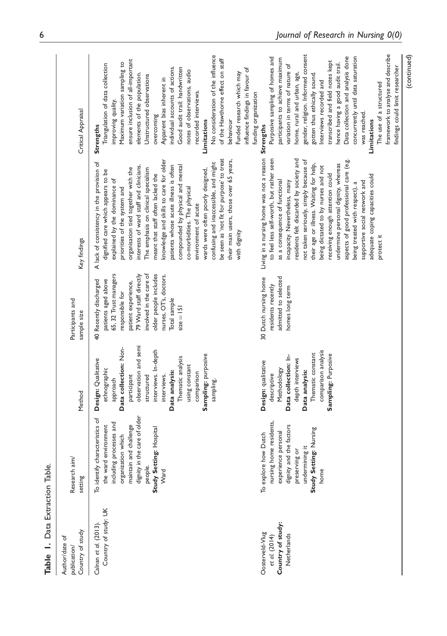| Table 1. Data Extraction Table.                                      |                                                                                                                                                                                                                    |                                                                                                                                                                                                                                                                                 |                                                                                                                                                                                                                                                                         |                                                                                                                                                                                                                                                                                                                                                                                                                                                                                                                                                                                                                                                                                     |                                                                                                                                                                                                                                                                                                                                                                                                                                                                                                                                                                        |
|----------------------------------------------------------------------|--------------------------------------------------------------------------------------------------------------------------------------------------------------------------------------------------------------------|---------------------------------------------------------------------------------------------------------------------------------------------------------------------------------------------------------------------------------------------------------------------------------|-------------------------------------------------------------------------------------------------------------------------------------------------------------------------------------------------------------------------------------------------------------------------|-------------------------------------------------------------------------------------------------------------------------------------------------------------------------------------------------------------------------------------------------------------------------------------------------------------------------------------------------------------------------------------------------------------------------------------------------------------------------------------------------------------------------------------------------------------------------------------------------------------------------------------------------------------------------------------|------------------------------------------------------------------------------------------------------------------------------------------------------------------------------------------------------------------------------------------------------------------------------------------------------------------------------------------------------------------------------------------------------------------------------------------------------------------------------------------------------------------------------------------------------------------------|
| Country of study<br>Author/date of<br>publication/                   | Research aim/<br>setting                                                                                                                                                                                           | Method                                                                                                                                                                                                                                                                          | Participants and<br>sample size                                                                                                                                                                                                                                         | Key findings                                                                                                                                                                                                                                                                                                                                                                                                                                                                                                                                                                                                                                                                        | Critical Appraisal                                                                                                                                                                                                                                                                                                                                                                                                                                                                                                                                                     |
| Country of study: UK<br>Calnan et al. (2013).                        | dignity in the care of older<br>characteristics of<br>including processes and<br>maintain and challenge<br>the ward environment<br>Study Setting: Hospital<br>organization which<br>people.<br>To identify<br>Ward | observation and semi<br>Data collection: Non-<br>interviews. In-depth<br>Sampling: purposive<br>Thematic analysis<br>Design: Qualitative<br>using constant<br>ethnographic<br>Data analysis:<br>comparison<br>participant<br>interviews.<br>structured<br>approach<br>sampling. | 65, 32 Trust managers<br>79 Ward staff directly<br>involved in the care of<br>older people includes<br>nurses, OT's, doctors.<br>patients aged above<br>Recently discharged<br>patient experience,<br>responsible for<br>Total sample<br>$size = 151$<br>$\overline{4}$ | be seen as 'not fit for purpose' to treat<br>knowledge and skills to care for older<br>their main users, those over 65 years,<br>A lack of consistency in the provision of<br>confusing and inaccessible, and might<br>patients whose acute illness is often<br>interests of ward staff and clinicians.<br>compounded by physical and mental<br>organisation tied together with the<br>The emphasis on clinical specialism<br>wards were often poorly designed,<br>dignified care which appears to be<br>meant that staff often lacked the<br>explained by the dominance of<br>priorities of the system and<br>co-morbidities. The physical<br>environment of acute<br>with dignity | No consideration of the influence<br>of the Hawthorne effect on staff<br>ensure inclusion of all-important<br>Maximum variation sampling to<br>Triangulation of data collection<br>individual accounts of actions.<br>Good audit trail: handwritten<br>influence findings in favour of<br>notes of observations, audio<br>Funded research which may<br>elements of the population.<br>Unstructured observations<br>Apparent bias inherent in<br>recorded interviews.<br>improving quality.<br>overcoming<br>behaviour<br>Limitations<br>Strengths                      |
| Country of study:<br>Oosterveld-Vlug<br>Netherlands<br>et al. (2014) | nursing home residents,<br>dignity and the factors<br>Study Setting: Nursing<br>experience personal<br>To explore how Dutch<br>undermining it<br>preserving or<br>home                                             | comparison analysis<br>Thematic constant<br>Sampling: Purposive<br>Data collection: In-<br>depth interviews<br>Design: qualitative<br><b>Methodology</b><br>Data analysis:<br>descriptive                                                                                       | 30 Dutch nursing home<br>admitted to selected<br>residents recently<br>homes long term                                                                                                                                                                                  | Living in a nursing home was not a reason<br>to feel less self-worth, but rather seen<br>residents felt discarded by society and<br>aspects of good professional care (e.g.<br>not taken seriously, simply because of<br>their age or illness. Waiting for help,<br>undermine personal dignity, whereas<br>being dictated to by nurses and not<br>receiving enough attention could<br>adequate coping capacities could<br>as a consequence of functional<br>incapacity. Nevertheless, many<br>supportive social network and<br>being treated with respect), a<br>protect it                                                                                                         | gender, religion. Informed consent<br>framework to analyse and describe<br>Data collection and analysis done<br>Purposive sampling of homes and<br>concurrently until data saturation<br>participants to achieve maximum<br>transcribed and field notes kept<br>hence having a good audit trail.<br>variation in terms of nature of<br>findings could limit researcher<br>home, rural and urban, age,<br>gotten thus ethically sound.<br>Interviews recorded and<br>The use of a structured<br>funding organization<br>was reached.<br>Limitations<br><b>Strengths</b> |

(continued)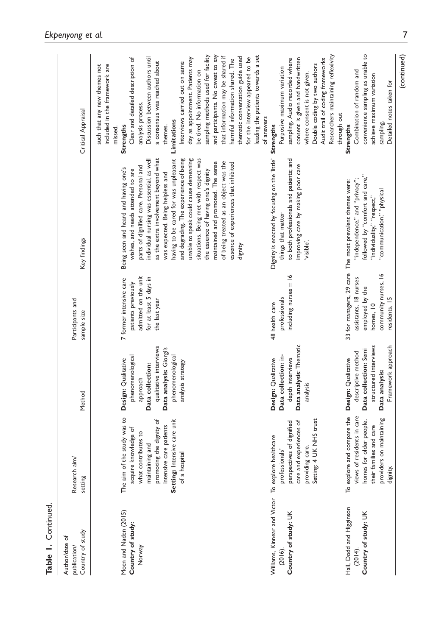| Table 1. Continued                                                                       |                                                                                                                                                                                                       |                                                                                                                                                                       |                                                                                                                   |                                                                                                                                                                                                                                                                                                                                                                                                                                                                                                                                                                                              |                                                                                                                                                                                                                                                                                                                                                                                                                                                                                                                                                                                 |
|------------------------------------------------------------------------------------------|-------------------------------------------------------------------------------------------------------------------------------------------------------------------------------------------------------|-----------------------------------------------------------------------------------------------------------------------------------------------------------------------|-------------------------------------------------------------------------------------------------------------------|----------------------------------------------------------------------------------------------------------------------------------------------------------------------------------------------------------------------------------------------------------------------------------------------------------------------------------------------------------------------------------------------------------------------------------------------------------------------------------------------------------------------------------------------------------------------------------------------|---------------------------------------------------------------------------------------------------------------------------------------------------------------------------------------------------------------------------------------------------------------------------------------------------------------------------------------------------------------------------------------------------------------------------------------------------------------------------------------------------------------------------------------------------------------------------------|
| Country of study<br>Author/date of<br>publication/                                       | Research aim/<br>setting                                                                                                                                                                              | Method                                                                                                                                                                | Participants and<br>sample size                                                                                   | Key findings                                                                                                                                                                                                                                                                                                                                                                                                                                                                                                                                                                                 | Critical Appraisal                                                                                                                                                                                                                                                                                                                                                                                                                                                                                                                                                              |
| Moen and Naden (2015)<br>Country of study:<br>Norway                                     | The aim of the study was to<br>Setting: Intensive care unit<br>promoting the dignity of<br>intensive care patients<br>acquire knowledge of<br>what contributes to<br>maintaining and<br>of a hospital | qualitative interviews<br>Data analysis: Giorgi's<br>phenomenological<br>phenomenological<br>Design: Qualitative<br>analysis strategy<br>Data collection:<br>approach | admitted on the unit<br>for at least 5 days in<br>7 former intensive care<br>patients previously<br>the last year | as the extra involvement beyond what<br>and degrading. The experience of being<br>unable to speak could cause demeaning<br>situations. Being met with respect was<br>having to be cared for was unpleasant<br>individual nursing was essential, as well<br>maintained and promoted. The sense<br>of being treated as an object was the<br>essence of experiences that inhibited<br>parts of dignified care. Personal and<br>Being seen and heard and having one's<br>the essence of having one's dignity<br>wishes, and needs attended to are<br>was expected. Being helpless and<br>dignity | and participants. No caveat to say<br>sampling methods used for facility<br>that information may be shared if<br>thematic conversation guide used<br>Discussion between authors until<br>for the interview appeared to be<br>Clear and detailed description of<br>day as appointment. Patients may<br>harmful information shared. The<br>a consensus was reached about<br>Interviews carried out on same<br>included in the framework are<br>such that any new themes not<br>be tired. No information on<br>analysis process.<br>Limitations<br>themes.<br>Strengths<br>missed. |
|                                                                                          |                                                                                                                                                                                                       |                                                                                                                                                                       |                                                                                                                   |                                                                                                                                                                                                                                                                                                                                                                                                                                                                                                                                                                                              | leading the patients towards a set<br>of answers                                                                                                                                                                                                                                                                                                                                                                                                                                                                                                                                |
| Williams, Kinnear and Victor To explore healthcare<br>Country of study: UK<br>$(2016)$ . | UK NHS trust<br>perspectives of dignified<br>experiences of<br>care.<br>professionals'<br>care and<br>providing<br>Setting: 4                                                                         | Data analysis: Thematic<br>Data collection: in-<br>Design: Qualitative<br>depth interviews<br>analysis                                                                | $includeing$ nurses $= 16$<br>professionals<br>48 health care                                                     | Dignity is enacted by focusing on the 'little'<br>to both professionals and patients; and<br>improving care by making poor care<br>things that matter<br>visible'.                                                                                                                                                                                                                                                                                                                                                                                                                           | Researchers maintaining reflexivity<br>consent is given and handwritten<br>sampling. Audio recorded where<br>Audit trail of coding frameworks<br>Double coding by two authors<br>Purposive maximum variation<br>where consent is not given.<br><b>Strengths</b>                                                                                                                                                                                                                                                                                                                 |
| Hall, Dodd and Higginson<br>Country of study: UK<br>(2014).                              | To explore and compare the<br>views of residents in care<br>on maintaining<br>homes for older people,<br>their families and care<br>providers<br>dignity.                                             | structured interviews<br>Framework approach<br>Data collection: Semi<br>descriptive method<br>Design: Qualitative<br>Data analysis:                                   | community nurses, 16<br>assistants, 18 nurses<br>employed by the<br>residents, 15<br>homes, 10                    | followed by "comfort and care,"<br>"independence," and "privacy";<br>33 for managers, 29 care The most prevalent themes were:<br>"communication," "physical<br>'individuality," "respect,"                                                                                                                                                                                                                                                                                                                                                                                                   | convenience sampling as unable to<br>Combination of random and<br>achieve maximum variation<br>Detailed notes taken for<br>through out<br>sampling.<br><b>Strengths</b>                                                                                                                                                                                                                                                                                                                                                                                                         |
|                                                                                          |                                                                                                                                                                                                       |                                                                                                                                                                       |                                                                                                                   |                                                                                                                                                                                                                                                                                                                                                                                                                                                                                                                                                                                              | (continued)                                                                                                                                                                                                                                                                                                                                                                                                                                                                                                                                                                     |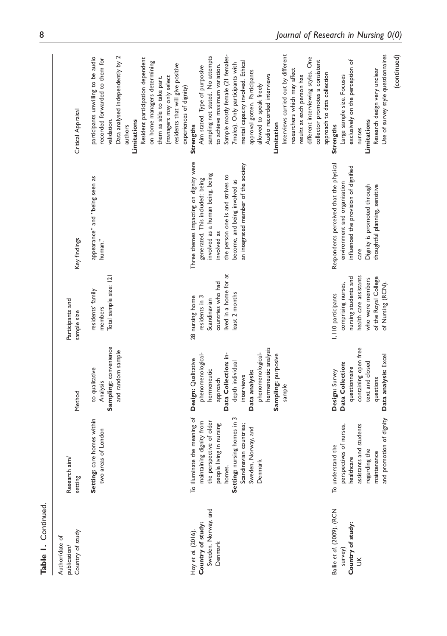| Author/date of                                                            |                                                                                                                                                                                                                           |                                                                                                                                                                                                                               |                                                                                                                                                             |                                                                                                                                                                                                                                          |                                                                                                                                                                                                                                                                                                                                                                                                                                                                                                                   |
|---------------------------------------------------------------------------|---------------------------------------------------------------------------------------------------------------------------------------------------------------------------------------------------------------------------|-------------------------------------------------------------------------------------------------------------------------------------------------------------------------------------------------------------------------------|-------------------------------------------------------------------------------------------------------------------------------------------------------------|------------------------------------------------------------------------------------------------------------------------------------------------------------------------------------------------------------------------------------------|-------------------------------------------------------------------------------------------------------------------------------------------------------------------------------------------------------------------------------------------------------------------------------------------------------------------------------------------------------------------------------------------------------------------------------------------------------------------------------------------------------------------|
| Country of study<br>publication                                           | $\overrightarrow{a}$<br>Research<br>setting                                                                                                                                                                               | Method                                                                                                                                                                                                                        | Participants and<br>sample size                                                                                                                             | Key findings                                                                                                                                                                                                                             | Critical Appraisal                                                                                                                                                                                                                                                                                                                                                                                                                                                                                                |
|                                                                           | care homes within<br>two areas of London<br>Setting:                                                                                                                                                                      | Sampling: convenience<br>and random sample<br>to qualitative<br>Analysis                                                                                                                                                      | Total sample size: 121<br>residents' family<br>members                                                                                                      | appearance" and "being seen as<br>human."                                                                                                                                                                                                | Data analysed independently by 2<br>participants unwilling to be audio<br>Resident participation dependent<br>recorded forwarded to them for<br>on home managers determining<br>residents that will give positive<br>(managers may only select<br>them as able to take part.<br>experiences of dignity)<br>Limitations<br>validation.<br>authors                                                                                                                                                                  |
| Sweden, Norway, and<br>Country of study:<br>Hoy et al. (2016).<br>Denmark | S<br>To illuminate the meaning of<br>maintaining dignity from<br>the perspective of older<br>Setting: nursing homes in<br>people living in nursing<br>Scandinavian countries;<br>Sweden, Norway, and<br>Denmark<br>homes. | hermeneutic analysis<br>phenomenological-<br>phenomenological-<br>Data Collection: in-<br>Sampling: purposive<br>Design: Qualitative<br>depth individual<br>hermeneutic<br>Data analysis:<br>interviews<br>approach<br>sample | lived in a home for at<br>countries who had<br>least 2 months<br>28 nursing home<br>residents in 3<br>Scandinavian                                          | Three themes impacting on dignity were<br>an integrated member of the society<br>involved as a human being, being<br>the person one is and strives to<br>generated. This included: being<br>become, and being involved as<br>involved as | Interviews carried out by different<br>Sample mostly female (21 females-<br>sampling not stated. No attempts<br>different interviewing styles. One<br>collector promotes a consistent<br>mental capacity involved. Ethical<br>7males). Only participants with<br>to achieve maximum variation.<br>Aim stated. Type of purposive<br>researchers which may affect<br>approval gotten. Participants<br>Audio recorded interviews<br>results as each person has<br>allowed to speak freely<br>Limitation<br>Strengths |
| Ballie et al. (2009). (RCN<br>Country of study:<br>survey)<br>š           | and promotion of dignity<br>perspectives of nurses,<br>assistants and students<br>To understand the<br>regarding the<br>maintenance<br>healthcare                                                                         | containing open free<br>Data analysis: Excel<br>text and closed<br>Data Collection:<br>questionnaire<br>Design: Survey<br>questions                                                                                           | health care assistants<br>nursing students and<br>of the Royal College<br>who were members<br>comprising nurses,<br>of Nursing (RCN)<br>I, IIO participants | Respondents perceived that the physical<br>influenced the provision of dignified<br>environment and organisation<br>Dignity is promoted through<br>thoughtful planning, sensitive<br>care                                                | Use of survey style questionnaires<br>exclusively on the perception of<br>Research design very unclear<br>approach to data collection<br>Large sample size. Focuses<br>Limitations<br>Strengths<br>nurses                                                                                                                                                                                                                                                                                                         |
|                                                                           |                                                                                                                                                                                                                           |                                                                                                                                                                                                                               |                                                                                                                                                             |                                                                                                                                                                                                                                          | (continued)                                                                                                                                                                                                                                                                                                                                                                                                                                                                                                       |

Table 1. Continued.

Table 1. Continued.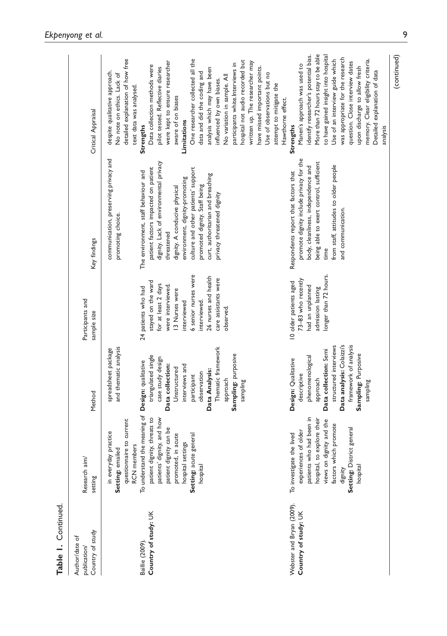| í |
|---|
| ٠ |
|   |

| Country of study<br>Author/date of<br>publication/ | $a$ im/<br>Research<br>setting                                                                                                                                                                                                                                                              | Method                                                                                                                                                                                                                                                                                     | Participants and<br>sample size                                                                                                                                                                                             | Key findings                                                                                                                                                                                                                                                                                                                                                                                                    | Critical Appraisal                                                                                                                                                                                                                                                                                                                                                                                                                                                                                                                                                |
|----------------------------------------------------|---------------------------------------------------------------------------------------------------------------------------------------------------------------------------------------------------------------------------------------------------------------------------------------------|--------------------------------------------------------------------------------------------------------------------------------------------------------------------------------------------------------------------------------------------------------------------------------------------|-----------------------------------------------------------------------------------------------------------------------------------------------------------------------------------------------------------------------------|-----------------------------------------------------------------------------------------------------------------------------------------------------------------------------------------------------------------------------------------------------------------------------------------------------------------------------------------------------------------------------------------------------------------|-------------------------------------------------------------------------------------------------------------------------------------------------------------------------------------------------------------------------------------------------------------------------------------------------------------------------------------------------------------------------------------------------------------------------------------------------------------------------------------------------------------------------------------------------------------------|
| Country of study: UK<br>Baillie (2009).            | To understand the meaning of<br>patient dignity, threats to<br>patients' dignity, and how<br>questionnaire to current<br>patient dignity can be<br>in everyday practice<br>promoted, in acute<br>Setting: acute general<br>hospital settings<br>RCN members<br>Setting: emailed<br>hospital | and thematic analysis<br>Thematic framework<br>spreadsheet package<br>Sampling: purposive<br>triangulated single<br>case study design<br>Design: qualitative<br>Data collection:<br>interviews and<br>Unstructured<br>Data Analysis:<br>observation<br>participant<br>approach<br>sampling | 6 senior nurses were<br>26 nurses and health<br>care assistants were<br>stayed on the ward<br>for at least 2 days<br>were interviewed.<br>24 patients who had<br>13 Nurses were<br>interviewed.<br>interviewed<br>observed. | communication, preserving privacy and<br>dignity. Lack of environmental privacy<br>patient factors impacted on patient<br>culture and other patients' support<br>The environment, staff behaviour and<br>curt, authoritarian and breaching<br>environment, dignity-promoting<br>promoted dignity. Staff being<br>dignity. A conducive physical<br>privacy threatened dignity<br>promoting choice.<br>threatened | detailed explanation of how free<br>One researcher collected all the<br>hospital not audio recorded but<br>were kept to ensure researcher<br>written up. The researcher may<br>participants white.Interviews in<br>Data collection methods were<br>pilot tested. Reflective diaries<br>analysis which may have been<br>despite qualitative approach.<br>data and did the coding and<br>No note on ethics. Lack of<br>No variation in sample. All<br>influenced by own biases.<br>text data was analysed.<br>aware of on biases<br>Limitations<br><b>Strengths</b> |
| Webster and Bryan (2009).<br>Country of study: UK  | patients who had been in<br>hospital, to explore their<br>views on dignity and the<br>factors which promote<br>District general<br>experiences of older<br>To investigate the lived<br>hospital<br>dignity<br>Setting:                                                                      | framework of analysis<br>Data analysis: Colaizzi's<br>structured interviews<br>Data collection: Semi<br>Sampling: Purposive<br>phenomenological<br>Design: Qualitative<br>descriptive<br>approach<br>sampling                                                                              | longer than 72 hours.<br>73-83 who recently<br>10 older patients aged<br>had an unplanned<br>admission lasting                                                                                                              | promote dignity include privacy for the<br>being able to exert control, sufficient<br>from staff, attitudes to older people<br>body, cleanliness, independence and<br>Respondents report that factors that<br>and communication.<br>time                                                                                                                                                                        | More than 72 hours stay to be able<br>identify researcher's potential bias.<br>to have gained insight into hospital<br>was appropriate for the research<br>Use of an interview guide which<br>memory. Clear eligibility criteria.<br>question. Close interview dates<br>Manen's approach was used to<br>have missed important points.<br>upon discharge to allow fresh<br>Detailed explanation of data<br>Use of observations but no<br>attempt to mitigate the<br>Hawthorne effect.<br><b>Strengths</b>                                                          |

(continued)

analysis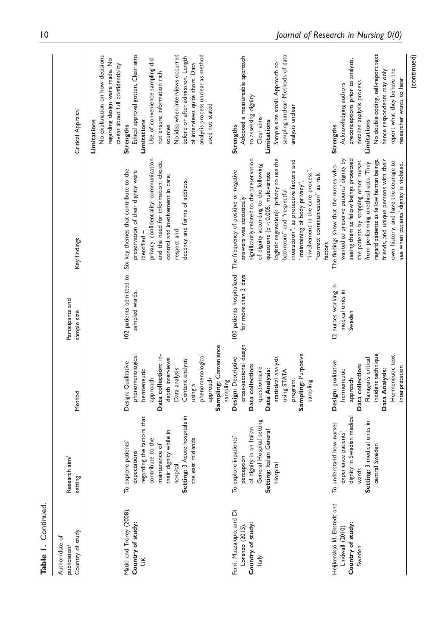| Country of study<br>Author/date of<br>publication/                            | Research aim/<br>setting                                                                                                                          | Method                                                                                                                                                                                     | Participants and<br>sample size                    | Key findings                                                                                                                                                                                                                                                                                                                                                                                                                                  | Critical Appraisal                                                                                                                                                                                                                                                 |
|-------------------------------------------------------------------------------|---------------------------------------------------------------------------------------------------------------------------------------------------|--------------------------------------------------------------------------------------------------------------------------------------------------------------------------------------------|----------------------------------------------------|-----------------------------------------------------------------------------------------------------------------------------------------------------------------------------------------------------------------------------------------------------------------------------------------------------------------------------------------------------------------------------------------------------------------------------------------------|--------------------------------------------------------------------------------------------------------------------------------------------------------------------------------------------------------------------------------------------------------------------|
|                                                                               |                                                                                                                                                   |                                                                                                                                                                                            |                                                    |                                                                                                                                                                                                                                                                                                                                                                                                                                               | No explanation on how decisions<br>regarding design were made. No<br>caveat about full confidentiality<br>Limitations                                                                                                                                              |
| Matiti and Trorey (2008).<br>Country of study:<br>$\leq$                      | regarding the factors that<br>their dignity while in<br>contribute to the<br>To explore patients'<br>maintenance of<br>expectations               | Data collection: in-<br>phenomenological<br>depth interviews<br>Design: Qualitative<br>hermeneutic<br>approach                                                                             | 102 patients admitted to<br>sampled wards.         | privacy; confidentiality; communication<br>and the need for information; choice,<br>Six key themes that contribute to the<br>preservation of their dignity were<br>control and involvement in care;<br>dentified -                                                                                                                                                                                                                            | Ethical approval gotten, Clear aims<br>Use of convenience sampling did<br>not ensure information rich<br>Limitations<br>Strengths<br>sources                                                                                                                       |
|                                                                               | Setting: 3 Acute hospitals in<br>the east midlands<br>hospital                                                                                    | Sampling: Convenience<br>phenomenological<br>Content analysis<br>Data analysis:<br>approach<br>sampling<br>using a                                                                         |                                                    | decency and forms of address.<br>respect and                                                                                                                                                                                                                                                                                                                                                                                                  | No idea when interviews occurred<br>analysis process unclear as method<br>before or after admission. Length<br>of interviews quite short. Data<br>used not stated                                                                                                  |
| Ferri, Muzzalupo, and Di<br>Country of study:<br>Lorenzo (2015)<br>ltaly      | General Hospital setting<br>of dignity in an Italian<br>Setting: Italian General<br>To explore inpatients'<br>perception<br>Hospital              | cross-sectional design<br>Sampling: Purposive<br>Design: Descriptive<br>statistical analysis<br>Data collection:<br>questionnaire<br>Data Analysis:<br>using STATA<br>program.<br>sampling | 100 patients hospitalized<br>for more than 3 days  | logistic regression): "privacy to use the<br>significantly related to the preservation<br>interaction", as protective factors and<br>of dignity according to the following<br>"involvement in the care process",<br>The frequency of positive or negative<br>questions ( $p < 0.005$ , multivariate<br>"correct communication" as risk<br>"maintaining of body privacy",<br>bathroom" and "respectful<br>answers was statistically<br>factors | sampling unclear. Methods of data<br>Adopted a measureable approach<br>Sample size small. Approach to<br>to assessing dignity<br>analysis unclear<br>Clear aims<br>Limitations<br>Strengths                                                                        |
| Heijkenskjö Id, Ekstedt and<br>Country of study:<br>Lindwall (2010)<br>Sweden | in Swedish medical<br>medical units in<br>To understand how nurses<br>experience patients'<br>Sweden<br>dignity<br>wards<br>Setting: 3<br>central | incident technique<br>Hermeneutic text<br>Flanagan's critical<br>Design: qualitative<br>Data collection:<br>interpretation<br>Data Analysis:<br>hermeneutic<br>approach                    | 12 nurses working in<br>medical units in<br>Sweden | seeing them as fellow beings protected<br>wanted to preserve patients' dignity by<br>regard patients as fellow human beings,<br>friends, and unique persons with their<br>the patients by stopping other nurses<br>own history, and have the courage to<br>from performing unethical acts. They<br>see when patients' dignity is violated.<br>The findings show that the nurses who                                                           | No double coding, self-report text<br>(continued)<br>preconceptions prior to analysis,<br>report what they believe the<br>hence respondents may only<br>researcher wants to hear<br>detailed analysis process<br>Acknowledging authors<br>Limitations<br>Strengths |

Table 1. Continued. Table 1. Continued.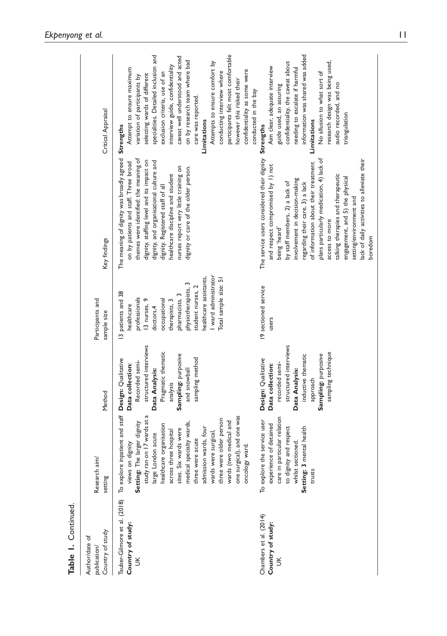| Country of study<br>Author/date of<br>publication/          | a <sub>im</sub><br>Research<br>setting                                                                                                                                                                                                                                                                                                                                                                                                             | Method                                                                                                                                                                              | Participants and<br>sample size                                                                                                                                                                                                                      | Key findings                                                                                                                                                                                                                                                                                                                                                                                                                                                                | Critical Appraisal                                                                                                                                                                                                                                                                                                                                                                                                                                                                                     |
|-------------------------------------------------------------|----------------------------------------------------------------------------------------------------------------------------------------------------------------------------------------------------------------------------------------------------------------------------------------------------------------------------------------------------------------------------------------------------------------------------------------------------|-------------------------------------------------------------------------------------------------------------------------------------------------------------------------------------|------------------------------------------------------------------------------------------------------------------------------------------------------------------------------------------------------------------------------------------------------|-----------------------------------------------------------------------------------------------------------------------------------------------------------------------------------------------------------------------------------------------------------------------------------------------------------------------------------------------------------------------------------------------------------------------------------------------------------------------------|--------------------------------------------------------------------------------------------------------------------------------------------------------------------------------------------------------------------------------------------------------------------------------------------------------------------------------------------------------------------------------------------------------------------------------------------------------------------------------------------------------|
| Tauber-Gilmore et al. (2018)<br>Country of study:<br>$\leq$ | To explore inpatient and staff Design: Qualitative<br>study ran on 17 wards at a<br>one surgical), and one was<br>three were older person<br>wards (two medical and<br>The larger dignity<br>medical specialty wards,<br>healthcare organisation<br>admission wards, four<br>sites. Six wards were<br>across three hospital<br>wards were surgical,<br>large London acute<br>three were acute<br>on dignity<br>oncology ward.<br>views<br>Setting: | structured interviews<br>Pragmatic thematic<br>Sampling: purposive<br>sampling method<br>Recorded semi-<br>Data collection:<br>Data Analysis:<br>and snowball<br>analysis           | ward administrator<br>nealthcare assistants,<br>Total sample size: 51<br>student nurses, 2<br>physiotherapists,<br>13 patients and 38<br>pharmacists, 3<br>professionals<br>13 nurses, 9<br>occupational<br>therapists, 3<br>healthcare<br>doctors,4 | The meaning of dignity was broadly agreed<br>themes were identified: the meaning of<br>dignity, staffing level and its impact on<br>dignity, and organisational culture and<br>on by patients and staff. Three broad<br>nurses report very little training on<br>dignity or care of the older person.<br>realthcare discipline and student<br>dignity. Registered staff of all                                                                                              | participants felt most comfortable<br>specialities. Detailed inclusion and<br>caveat well understood and acted<br>on by research team where bad<br>Attempts to ensure comfort by<br>interview guide, confidentiality<br>Attempt to ensure maximum<br>confidentiality as some were<br>conducting interview where<br>exclusion criteria, use of an<br>selecting wards of different<br>variation of participants by<br>however this risked their<br>care was reported.<br><b>Limitations</b><br>Strengths |
| Chambers et al. (2014)<br>Country of study:<br>$\leq$       | care in particular relation<br>To explore the service user<br>experience of detained<br>to dignity and respect<br>3 mental health<br>whilst sectioned.<br><b>Setting:</b><br>trusts                                                                                                                                                                                                                                                                | structured interviews<br>sampling technique<br>inductive thematic<br>Sampling: purposive<br>Design: Qualitative<br>recorded semi-<br>Data collection:<br>Data Analysis:<br>approach | 19 sectioned service<br>users                                                                                                                                                                                                                        | The service users considered their dignity<br>lack of daily activities to alleviate their<br>plans particularly medication, 4) lack of<br>of information about their treatment<br>and respect compromised by 1) not<br>talking therapies and therapeutic<br>engagement, and 5) the physical<br>involvement in decision-making<br>regarding their care, 3) a lack<br>by staff members, 2) a lack of<br>setting/environment and<br>access to more<br>being 'heard'<br>boredom | information was shared was added<br>research design was being used,<br>confidentiality, the caveat about<br>Aim clear, adequate interview<br>needing to escalate if harmful<br>No allusion to what sort of<br>audio recorded, and no<br>guide used, an assuring<br>conducted in the bay<br>triangulation<br>Limitations<br>Strengths                                                                                                                                                                   |

Table 1. Continued. Table 1. Continued.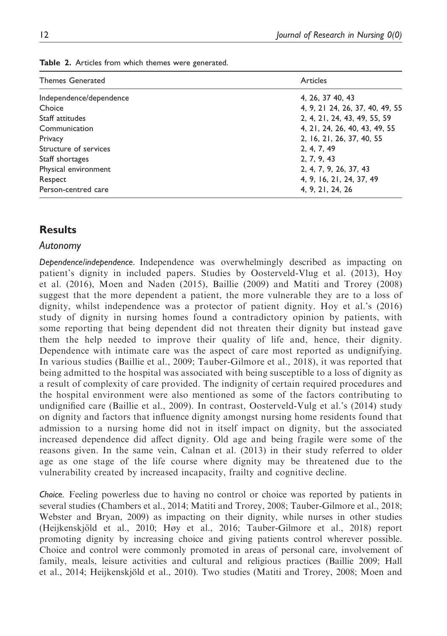| <b>Themes Generated</b> | Articles                        |
|-------------------------|---------------------------------|
| Independence/dependence | 4, 26, 37 40, 43                |
| Choice                  | 4, 9, 21 24, 26, 37, 40, 49, 55 |
| Staff attitudes         | 2, 4, 21, 24, 43, 49, 55, 59    |
| Communication           | 4, 21, 24, 26, 40, 43, 49, 55   |
| Privacy                 | 2, 16, 21, 26, 37, 40, 55       |
| Structure of services   | 2, 4, 7, 49                     |
| Staff shortages         | 2, 7, 9, 43                     |
| Physical environment    | 2, 4, 7, 9, 26, 37, 43          |
| Respect                 | 4, 9, 16, 21, 24, 37, 49        |
| Person-centred care     | 4, 9, 21, 24, 26                |

Table 2. Articles from which themes were generated.

# **Results**

#### Autonomy

Dependence/independence. Independence was overwhelmingly described as impacting on patient's dignity in included papers. Studies by Oosterveld-Vlug et al. (2013), Hoy et al. (2016), Moen and Naden (2015), Baillie (2009) and Matiti and Trorey (2008) suggest that the more dependent a patient, the more vulnerable they are to a loss of dignity, whilst independence was a protector of patient dignity. Hoy et al.'s (2016) study of dignity in nursing homes found a contradictory opinion by patients, with some reporting that being dependent did not threaten their dignity but instead gave them the help needed to improve their quality of life and, hence, their dignity. Dependence with intimate care was the aspect of care most reported as undignifying. In various studies (Baillie et al., 2009; Tauber-Gilmore et al., 2018), it was reported that being admitted to the hospital was associated with being susceptible to a loss of dignity as a result of complexity of care provided. The indignity of certain required procedures and the hospital environment were also mentioned as some of the factors contributing to undignified care (Baillie et al., 2009). In contrast, Oosterveld-Vulg et al.'s (2014) study on dignity and factors that influence dignity amongst nursing home residents found that admission to a nursing home did not in itself impact on dignity, but the associated increased dependence did affect dignity. Old age and being fragile were some of the reasons given. In the same vein, Calnan et al. (2013) in their study referred to older age as one stage of the life course where dignity may be threatened due to the vulnerability created by increased incapacity, frailty and cognitive decline.

Choice. Feeling powerless due to having no control or choice was reported by patients in several studies (Chambers et al., 2014; Matiti and Trorey, 2008; Tauber-Gilmore et al., 2018; Webster and Bryan, 2009) as impacting on their dignity, while nurses in other studies (Heijkenskjöld et al., 2010; Høy et al., 2016; Tauber-Gilmore et al., 2018) report promoting dignity by increasing choice and giving patients control wherever possible. Choice and control were commonly promoted in areas of personal care, involvement of family, meals, leisure activities and cultural and religious practices (Baillie 2009; Hall et al., 2014; Heijkenskjöld et al., 2010). Two studies (Matiti and Trorey, 2008; Moen and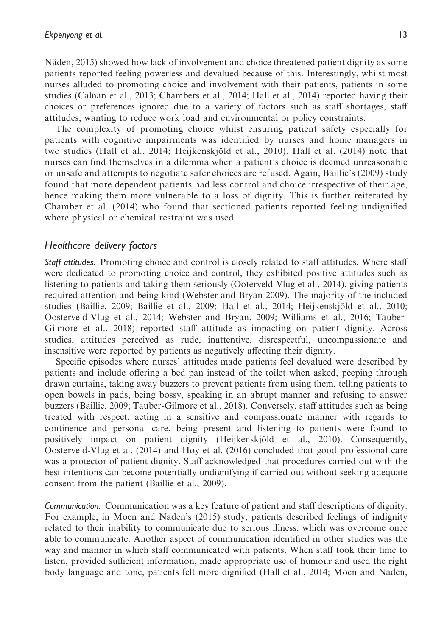Nåden, 2015) showed how lack of involvement and choice threatened patient dignity as some patients reported feeling powerless and devalued because of this. Interestingly, whilst most nurses alluded to promoting choice and involvement with their patients, patients in some studies (Calnan et al., 2013; Chambers et al., 2014; Hall et al., 2014) reported having their choices or preferences ignored due to a variety of factors such as staff shortages, staff attitudes, wanting to reduce work load and environmental or policy constraints.

The complexity of promoting choice whilst ensuring patient safety especially for patients with cognitive impairments was identified by nurses and home managers in two studies (Hall et al., 2014; Heijkenskjöld et al., 2010). Hall et al. (2014) note that nurses can find themselves in a dilemma when a patient's choice is deemed unreasonable or unsafe and attempts to negotiate safer choices are refused. Again, Baillie's (2009) study found that more dependent patients had less control and choice irrespective of their age, hence making them more vulnerable to a loss of dignity. This is further reiterated by Chamber et al. (2014) who found that sectioned patients reported feeling undignified where physical or chemical restraint was used.

## Healthcare delivery factors

Staff attitudes. Promoting choice and control is closely related to staff attitudes. Where staff were dedicated to promoting choice and control, they exhibited positive attitudes such as listening to patients and taking them seriously (Ooterveld-Vlug et al., 2014), giving patients required attention and being kind (Webster and Bryan 2009). The majority of the included studies (Baillie, 2009; Baillie et al., 2009; Hall et al., 2014; Heijkenskjöld et al., 2010; Oosterveld-Vlug et al., 2014; Webster and Bryan, 2009; Williams et al., 2016; Tauber-Gilmore et al., 2018) reported staff attitude as impacting on patient dignity. Across studies, attitudes perceived as rude, inattentive, disrespectful, uncompassionate and insensitive were reported by patients as negatively affecting their dignity.

Specific episodes where nurses' attitudes made patients feel devalued were described by patients and include offering a bed pan instead of the toilet when asked, peeping through drawn curtains, taking away buzzers to prevent patients from using them, telling patients to open bowels in pads, being bossy, speaking in an abrupt manner and refusing to answer buzzers (Baillie, 2009; Tauber-Gilmore et al., 2018). Conversely, staff attitudes such as being treated with respect, acting in a sensitive and compassionate manner with regards to continence and personal care, being present and listening to patients were found to positively impact on patient dignity (Heijkenskjöld et al., 2010). Consequently, Oosterveld-Vlug et al. (2014) and Høy et al. (2016) concluded that good professional care was a protector of patient dignity. Staff acknowledged that procedures carried out with the best intentions can become potentially undignifying if carried out without seeking adequate consent from the patient (Baillie et al., 2009).

Communication. Communication was a key feature of patient and staff descriptions of dignity. For example, in Moen and Naden's (2015) study, patients described feelings of indignity related to their inability to communicate due to serious illness, which was overcome once able to communicate. Another aspect of communication identified in other studies was the way and manner in which staff communicated with patients. When staff took their time to listen, provided sufficient information, made appropriate use of humour and used the right body language and tone, patients felt more dignified (Hall et al., 2014; Moen and Naden,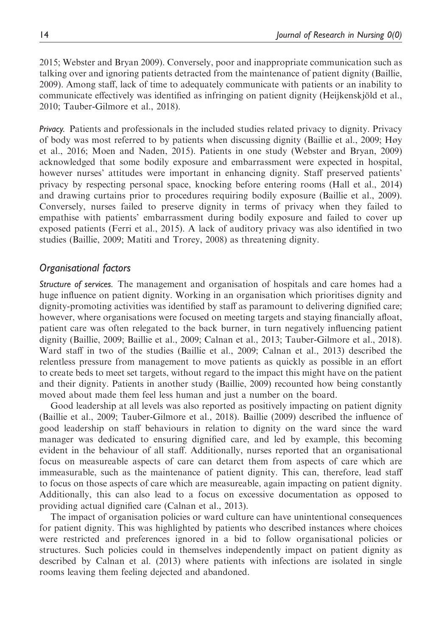2015; Webster and Bryan 2009). Conversely, poor and inappropriate communication such as talking over and ignoring patients detracted from the maintenance of patient dignity (Baillie, 2009). Among staff, lack of time to adequately communicate with patients or an inability to communicate effectively was identified as infringing on patient dignity (Heijkenskjöld et al., 2010; Tauber-Gilmore et al., 2018).

Privacy. Patients and professionals in the included studies related privacy to dignity. Privacy of body was most referred to by patients when discussing dignity (Baillie et al., 2009; Høy et al., 2016; Moen and Naden, 2015). Patients in one study (Webster and Bryan, 2009) acknowledged that some bodily exposure and embarrassment were expected in hospital, however nurses' attitudes were important in enhancing dignity. Staff preserved patients' privacy by respecting personal space, knocking before entering rooms (Hall et al., 2014) and drawing curtains prior to procedures requiring bodily exposure (Baillie et al., 2009). Conversely, nurses failed to preserve dignity in terms of privacy when they failed to empathise with patients' embarrassment during bodily exposure and failed to cover up exposed patients (Ferri et al., 2015). A lack of auditory privacy was also identified in two studies (Baillie, 2009; Matiti and Trorey, 2008) as threatening dignity.

## Organisational factors

Structure of services. The management and organisation of hospitals and care homes had a huge influence on patient dignity. Working in an organisation which prioritises dignity and dignity-promoting activities was identified by staff as paramount to delivering dignified care; however, where organisations were focused on meeting targets and staying financially afloat, patient care was often relegated to the back burner, in turn negatively influencing patient dignity (Baillie, 2009; Baillie et al., 2009; Calnan et al., 2013; Tauber-Gilmore et al., 2018). Ward staff in two of the studies (Baillie et al., 2009; Calnan et al., 2013) described the relentless pressure from management to move patients as quickly as possible in an effort to create beds to meet set targets, without regard to the impact this might have on the patient and their dignity. Patients in another study (Baillie, 2009) recounted how being constantly moved about made them feel less human and just a number on the board.

Good leadership at all levels was also reported as positively impacting on patient dignity (Baillie et al., 2009; Tauber-Gilmore et al., 2018). Baillie (2009) described the influence of good leadership on staff behaviours in relation to dignity on the ward since the ward manager was dedicated to ensuring dignified care, and led by example, this becoming evident in the behaviour of all staff. Additionally, nurses reported that an organisational focus on measureable aspects of care can detarct them from aspects of care which are immeasurable, such as the maintenance of patient dignity. This can, therefore, lead staff to focus on those aspects of care which are measureable, again impacting on patient dignity. Additionally, this can also lead to a focus on excessive documentation as opposed to providing actual dignified care (Calnan et al., 2013).

The impact of organisation policies or ward culture can have unintentional consequences for patient dignity. This was highlighted by patients who described instances where choices were restricted and preferences ignored in a bid to follow organisational policies or structures. Such policies could in themselves independently impact on patient dignity as described by Calnan et al. (2013) where patients with infections are isolated in single rooms leaving them feeling dejected and abandoned.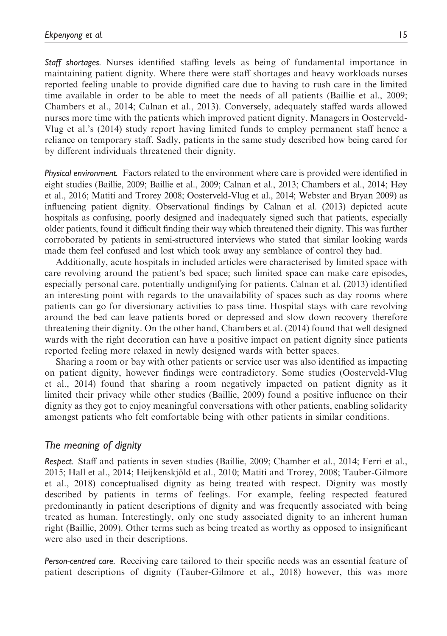Staff shortages. Nurses identified staffing levels as being of fundamental importance in maintaining patient dignity. Where there were staff shortages and heavy workloads nurses reported feeling unable to provide dignified care due to having to rush care in the limited time available in order to be able to meet the needs of all patients (Baillie et al., 2009; Chambers et al., 2014; Calnan et al., 2013). Conversely, adequately staffed wards allowed nurses more time with the patients which improved patient dignity. Managers in Oosterveld-Vlug et al.'s (2014) study report having limited funds to employ permanent staff hence a reliance on temporary staff. Sadly, patients in the same study described how being cared for by different individuals threatened their dignity.

Physical environment. Factors related to the environment where care is provided were identified in eight studies (Baillie, 2009; Baillie et al., 2009; Calnan et al., 2013; Chambers et al., 2014; Høy et al., 2016; Matiti and Trorey 2008; Oosterveld-Vlug et al., 2014; Webster and Bryan 2009) as influencing patient dignity. Observational findings by Calnan et al. (2013) depicted acute hospitals as confusing, poorly designed and inadequately signed such that patients, especially older patients, found it difficult finding their way which threatened their dignity. This was further corroborated by patients in semi-structured interviews who stated that similar looking wards made them feel confused and lost which took away any semblance of control they had.

Additionally, acute hospitals in included articles were characterised by limited space with care revolving around the patient's bed space; such limited space can make care episodes, especially personal care, potentially undignifying for patients. Calnan et al. (2013) identified an interesting point with regards to the unavailability of spaces such as day rooms where patients can go for diversionary activities to pass time. Hospital stays with care revolving around the bed can leave patients bored or depressed and slow down recovery therefore threatening their dignity. On the other hand, Chambers et al. (2014) found that well designed wards with the right decoration can have a positive impact on patient dignity since patients reported feeling more relaxed in newly designed wards with better spaces.

Sharing a room or bay with other patients or service user was also identified as impacting on patient dignity, however findings were contradictory. Some studies (Oosterveld-Vlug et al., 2014) found that sharing a room negatively impacted on patient dignity as it limited their privacy while other studies (Baillie, 2009) found a positive influence on their dignity as they got to enjoy meaningful conversations with other patients, enabling solidarity amongst patients who felt comfortable being with other patients in similar conditions.

# The meaning of dignity

Respect. Staff and patients in seven studies (Baillie, 2009; Chamber et al., 2014; Ferri et al., 2015; Hall et al., 2014; Heijkenskjöld et al., 2010; Matiti and Trorey, 2008; Tauber-Gilmore et al., 2018) conceptualised dignity as being treated with respect. Dignity was mostly described by patients in terms of feelings. For example, feeling respected featured predominantly in patient descriptions of dignity and was frequently associated with being treated as human. Interestingly, only one study associated dignity to an inherent human right (Baillie, 2009). Other terms such as being treated as worthy as opposed to insignificant were also used in their descriptions.

Person-centred care. Receiving care tailored to their specific needs was an essential feature of patient descriptions of dignity (Tauber-Gilmore et al., 2018) however, this was more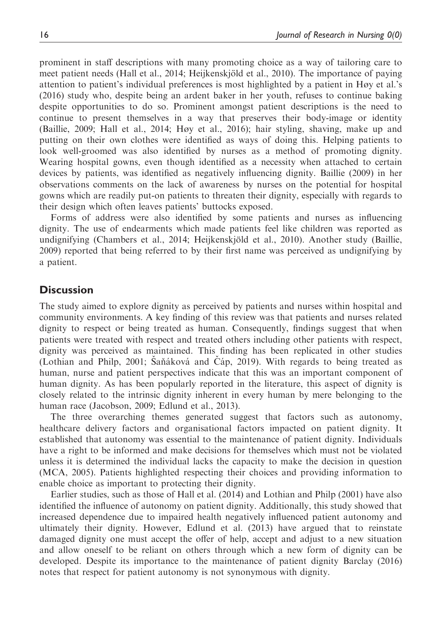prominent in staff descriptions with many promoting choice as a way of tailoring care to meet patient needs (Hall et al., 2014; Heijkenskjöld et al., 2010). The importance of paying attention to patient's individual preferences is most highlighted by a patient in Høy et al.'s (2016) study who, despite being an ardent baker in her youth, refuses to continue baking despite opportunities to do so. Prominent amongst patient descriptions is the need to continue to present themselves in a way that preserves their body-image or identity (Baillie, 2009; Hall et al., 2014; Høy et al., 2016); hair styling, shaving, make up and putting on their own clothes were identified as ways of doing this. Helping patients to look well-groomed was also identified by nurses as a method of promoting dignity. Wearing hospital gowns, even though identified as a necessity when attached to certain devices by patients, was identified as negatively influencing dignity. Baillie (2009) in her observations comments on the lack of awareness by nurses on the potential for hospital gowns which are readily put-on patients to threaten their dignity, especially with regards to their design which often leaves patients' buttocks exposed.

Forms of address were also identified by some patients and nurses as influencing dignity. The use of endearments which made patients feel like children was reported as undignifying (Chambers et al., 2014; Heijkenskjöld et al., 2010). Another study (Baillie, 2009) reported that being referred to by their first name was perceived as undignifying by a patient.

## **Discussion**

The study aimed to explore dignity as perceived by patients and nurses within hospital and community environments. A key finding of this review was that patients and nurses related dignity to respect or being treated as human. Consequently, findings suggest that when patients were treated with respect and treated others including other patients with respect, dignity was perceived as maintained. This finding has been replicated in other studies (Lothian and Philp, 2001; Sanǎková and Cáp, 2019). With regards to being treated as human, nurse and patient perspectives indicate that this was an important component of human dignity. As has been popularly reported in the literature, this aspect of dignity is closely related to the intrinsic dignity inherent in every human by mere belonging to the human race (Jacobson, 2009; Edlund et al., 2013).

The three overarching themes generated suggest that factors such as autonomy, healthcare delivery factors and organisational factors impacted on patient dignity. It established that autonomy was essential to the maintenance of patient dignity. Individuals have a right to be informed and make decisions for themselves which must not be violated unless it is determined the individual lacks the capacity to make the decision in question (MCA, 2005). Patients highlighted respecting their choices and providing information to enable choice as important to protecting their dignity.

Earlier studies, such as those of Hall et al. (2014) and Lothian and Philp (2001) have also identified the influence of autonomy on patient dignity. Additionally, this study showed that increased dependence due to impaired health negatively influenced patient autonomy and ultimately their dignity. However, Edlund et al. (2013) have argued that to reinstate damaged dignity one must accept the offer of help, accept and adjust to a new situation and allow oneself to be reliant on others through which a new form of dignity can be developed. Despite its importance to the maintenance of patient dignity Barclay (2016) notes that respect for patient autonomy is not synonymous with dignity.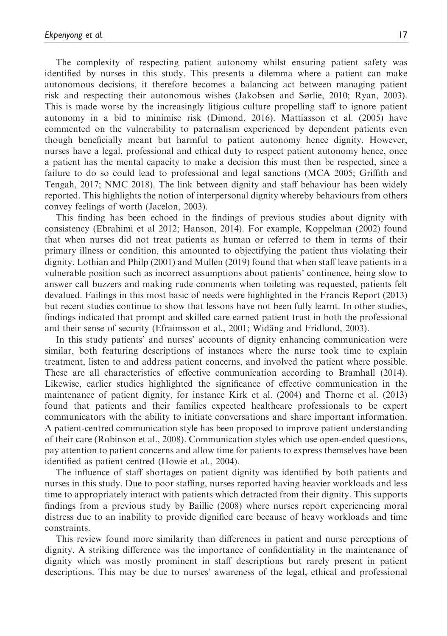The complexity of respecting patient autonomy whilst ensuring patient safety was identified by nurses in this study. This presents a dilemma where a patient can make autonomous decisions, it therefore becomes a balancing act between managing patient risk and respecting their autonomous wishes (Jakobsen and Sørlie, 2010; Ryan, 2003). This is made worse by the increasingly litigious culture propelling staff to ignore patient autonomy in a bid to minimise risk (Dimond, 2016). Mattiasson et al. (2005) have commented on the vulnerability to paternalism experienced by dependent patients even though beneficially meant but harmful to patient autonomy hence dignity. However, nurses have a legal, professional and ethical duty to respect patient autonomy hence, once a patient has the mental capacity to make a decision this must then be respected, since a failure to do so could lead to professional and legal sanctions (MCA 2005; Griffith and Tengah, 2017; NMC 2018). The link between dignity and staff behaviour has been widely reported. This highlights the notion of interpersonal dignity whereby behaviours from others convey feelings of worth (Jacelon, 2003).

This finding has been echoed in the findings of previous studies about dignity with consistency (Ebrahimi et al 2012; Hanson, 2014). For example, Koppelman (2002) found that when nurses did not treat patients as human or referred to them in terms of their primary illness or condition, this amounted to objectifying the patient thus violating their dignity. Lothian and Philp (2001) and Mullen (2019) found that when staff leave patients in a vulnerable position such as incorrect assumptions about patients' continence, being slow to answer call buzzers and making rude comments when toileting was requested, patients felt devalued. Failings in this most basic of needs were highlighted in the Francis Report (2013) but recent studies continue to show that lessons have not been fully learnt. In other studies, findings indicated that prompt and skilled care earned patient trust in both the professional and their sense of security (Efraimsson et al., 2001; Widäng and Fridlund, 2003).

In this study patients' and nurses' accounts of dignity enhancing communication were similar, both featuring descriptions of instances where the nurse took time to explain treatment, listen to and address patient concerns, and involved the patient where possible. These are all characteristics of effective communication according to Bramhall (2014). Likewise, earlier studies highlighted the significance of effective communication in the maintenance of patient dignity, for instance Kirk et al. (2004) and Thorne et al. (2013) found that patients and their families expected healthcare professionals to be expert communicators with the ability to initiate conversations and share important information. A patient-centred communication style has been proposed to improve patient understanding of their care (Robinson et al., 2008). Communication styles which use open-ended questions, pay attention to patient concerns and allow time for patients to express themselves have been identified as patient centred (Howie et al., 2004).

The influence of staff shortages on patient dignity was identified by both patients and nurses in this study. Due to poor staffing, nurses reported having heavier workloads and less time to appropriately interact with patients which detracted from their dignity. This supports findings from a previous study by Baillie (2008) where nurses report experiencing moral distress due to an inability to provide dignified care because of heavy workloads and time constraints.

This review found more similarity than differences in patient and nurse perceptions of dignity. A striking difference was the importance of confidentiality in the maintenance of dignity which was mostly prominent in staff descriptions but rarely present in patient descriptions. This may be due to nurses' awareness of the legal, ethical and professional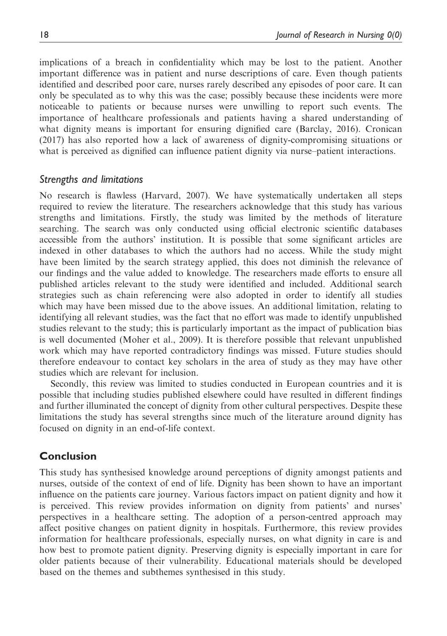implications of a breach in confidentiality which may be lost to the patient. Another important difference was in patient and nurse descriptions of care. Even though patients identified and described poor care, nurses rarely described any episodes of poor care. It can only be speculated as to why this was the case; possibly because these incidents were more noticeable to patients or because nurses were unwilling to report such events. The importance of healthcare professionals and patients having a shared understanding of what dignity means is important for ensuring dignified care (Barclay, 2016). Cronican (2017) has also reported how a lack of awareness of dignity-compromising situations or what is perceived as dignified can influence patient dignity via nurse–patient interactions.

#### Strengths and limitations

No research is flawless (Harvard, 2007). We have systematically undertaken all steps required to review the literature. The researchers acknowledge that this study has various strengths and limitations. Firstly, the study was limited by the methods of literature searching. The search was only conducted using official electronic scientific databases accessible from the authors' institution. It is possible that some significant articles are indexed in other databases to which the authors had no access. While the study might have been limited by the search strategy applied, this does not diminish the relevance of our findings and the value added to knowledge. The researchers made efforts to ensure all published articles relevant to the study were identified and included. Additional search strategies such as chain referencing were also adopted in order to identify all studies which may have been missed due to the above issues. An additional limitation, relating to identifying all relevant studies, was the fact that no effort was made to identify unpublished studies relevant to the study; this is particularly important as the impact of publication bias is well documented (Moher et al., 2009). It is therefore possible that relevant unpublished work which may have reported contradictory findings was missed. Future studies should therefore endeavour to contact key scholars in the area of study as they may have other studies which are relevant for inclusion.

Secondly, this review was limited to studies conducted in European countries and it is possible that including studies published elsewhere could have resulted in different findings and further illuminated the concept of dignity from other cultural perspectives. Despite these limitations the study has several strengths since much of the literature around dignity has focused on dignity in an end-of-life context.

## Conclusion

This study has synthesised knowledge around perceptions of dignity amongst patients and nurses, outside of the context of end of life. Dignity has been shown to have an important influence on the patients care journey. Various factors impact on patient dignity and how it is perceived. This review provides information on dignity from patients' and nurses' perspectives in a healthcare setting. The adoption of a person-centred approach may affect positive changes on patient dignity in hospitals. Furthermore, this review provides information for healthcare professionals, especially nurses, on what dignity in care is and how best to promote patient dignity. Preserving dignity is especially important in care for older patients because of their vulnerability. Educational materials should be developed based on the themes and subthemes synthesised in this study.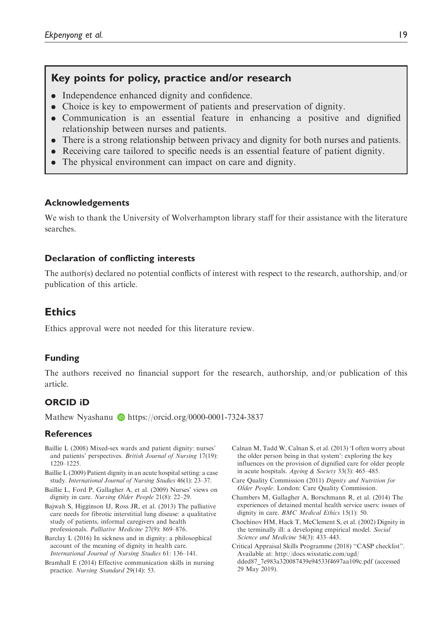# Key points for policy, practice and/or research

- . Independence enhanced dignity and confidence.
- . Choice is key to empowerment of patients and preservation of dignity.
- . Communication is an essential feature in enhancing a positive and dignified relationship between nurses and patients.
- . There is a strong relationship between privacy and dignity for both nurses and patients.
- . Receiving care tailored to specific needs is an essential feature of patient dignity.
- . The physical environment can impact on care and dignity.

#### Acknowledgements

We wish to thank the University of Wolverhampton library staff for their assistance with the literature searches.

#### Declaration of conflicting interests

The author(s) declared no potential conflicts of interest with respect to the research, authorship, and/or publication of this article.

## **Ethics**

Ethics approval were not needed for this literature review.

#### Funding

The authors received no financial support for the research, authorship, and/or publication of this article.

## ORCID iD

Mathew Nyashanu  $\bullet$  <https://orcid.org/0000-0001-7324-3837>

#### **References**

- Baillie L (2008) Mixed-sex wards and patient dignity: nurses' and patients' perspectives. British Journal of Nursing 17(19): 1220–1225.
- Baillie L (2009) Patient dignity in an acute hospital setting: a case study. International Journal of Nursing Studies 46(1): 23–37.
- Baillie L, Ford P, Gallagher A, et al. (2009) Nurses' views on dignity in care. Nursing Older People 21(8): 22–29.
- Bajwah S, Higginson IJ, Ross JR, et al. (2013) The palliative care needs for fibrotic interstitial lung disease: a qualitative study of patients, informal caregivers and health professionals. Palliative Medicine 27(9): 869–876.
- Barclay L (2016) In sickness and in dignity: a philosophical account of the meaning of dignity in health care. International Journal of Nursing Studies 61: 136–141.
- Bramhall E (2014) Effective communication skills in nursing practice. Nursing Standard 29(14): 53.
- Calnan M, Tadd W, Calnan S, et al. (2013) 'I often worry about the older person being in that system': exploring the key influences on the provision of dignified care for older people in acute hospitals. Ageing & Society 33(3): 465–485.
- Care Quality Commission (2011) Dignity and Nutrition for Older People. London: Care Quality Commission.
- Chambers M, Gallagher A, Borschmann R, et al. (2014) The experiences of detained mental health service users: issues of dignity in care. BMC Medical Ethics 15(1): 50.
- Chochinov HM, Hack T, McClement S, et al. (2002) Dignity in the terminally ill: a developing empirical model. Social Science and Medicine 54(3): 433–443.
- Critical Appraisal Skills Programme (2018) ''CASP checklist''. Available at: http://docs.wixstatic.com/ugd/ dded87\_7e983a320087439e94533f4697aa109c.pdf (accessed 29 May 2019).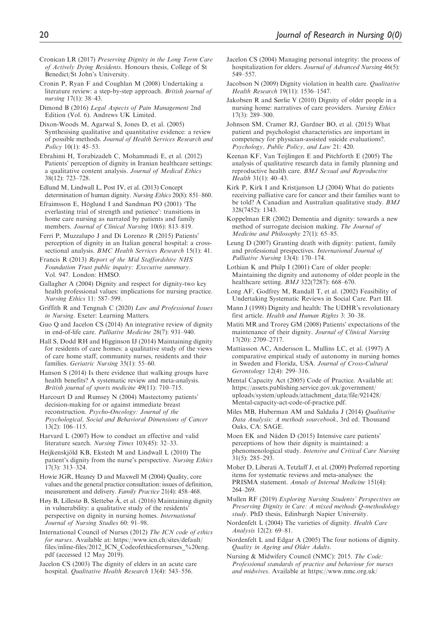- Cronican LR (2017) Preserving Dignity in the Long Term Care of Actively Dying Residents. Honours thesis, College of St Benedict/St John's University.
- Cronin P, Ryan F and Coughlan M (2008) Undertaking a literature review: a step-by-step approach. British journal of nursing 17(1): 38–43.
- Dimond B (2016) Legal Aspects of Pain Management 2nd Edition (Vol. 6). Andrews UK Limited.
- Dixon-Woods M, Agarwal S, Jones D, et al. (2005) Synthesising qualitative and quantitative evidence: a review of possible methods. Journal of Health Services Research and Policy 10(1): 45–53.
- Ebrahimi H, Torabizadeh C, Mohammadi E, et al. (2012) Patients' perception of dignity in Iranian healthcare settings: a qualitative content analysis. Journal of Medical Ethics 38(12): 723–728.
- Edlund M, Lindwall L, Post IV, et al. (2013) Concept determination of human dignity. Nursing Ethics 20(8): 851–860.

Efraimsson E, Höglund I and Sandman PO (2001) 'The everlasting trial of strength and patience': transitions in home care nursing as narrated by patients and family members. Journal of Clinical Nursing 10(6): 813-819.

Ferri P, Muzzalupo J and Di Lorenzo R (2015) Patients' perception of dignity in an Italian general hospital: a crosssectional analysis. *BMC Health Services Research* 15(1): 41.

Francis R (2013) Report of the Mid Staffordshire NHS Foundation Trust public inquiry: Executive summary. Vol. 947. London: HMSO.

Gallagher A (2004) Dignity and respect for dignity-two key health professional values: implications for nursing practice. Nursing Ethics 11: 587–599.

- Griffith R and Tengnah C (2020) Law and Professional Issues in Nursing. Exeter: Learning Matters.
- Guo O and Jacelon CS (2014) An integrative review of dignity in end-of-life care. Palliative Medicine 28(7): 931–940.
- Hall S, Dodd RH and Higginson IJ (2014) Maintaining dignity for residents of care homes: a qualitative study of the views of care home staff, community nurses, residents and their families. Geriatric Nursing 35(1): 55–60.
- Hanson S (2014) Is there evidence that walking groups have health benefits? A systematic review and meta-analysis. British journal of sports medicine 49(11): 710–715.
- Harcourt D and Rumsey N (2004) Mastectomy patients' decision-making for or against immediate breast reconstruction. Psycho-Oncology: Journal of the Psychological, Social and Behavioral Dimensions of Cancer  $13(2): 106 - 115$
- Harvard L (2007) How to conduct an effective and valid literature search. Nursing Times 103(45): 32–33.
- Heijkenskjöld KB, Ekstedt M and Lindwall L (2010) The patient's dignity from the nurse's perspective. Nursing Ethics 17(3): 313–324.
- Howie JGR, Heaney D and Maxwell M (2004) Quality, core values and the general practice consultation: issues of definition, measurement and delivery. Family Practice 21(4): 458–468.
- Høy B, Lillestø B, Slettebø Å, et al. (2016) Maintaining dignity in vulnerability: a qualitative study of the residents' perspective on dignity in nursing homes. International Journal of Nursing Studies 60: 91–98.
- International Council of Nurses (2012) The ICN code of ethics for nurses. Available at: [https://www.icn.ch/sites/default/](https://www.icn.ch/sites/default/files/inline-files/2012_ICN_Codeofethicsfornurses_20eng.pdf) [files/inline-files/2012\\_ICN\\_Codeofethicsfornurses\\_%20eng.](https://www.icn.ch/sites/default/files/inline-files/2012_ICN_Codeofethicsfornurses_20eng.pdf) [pdf](https://www.icn.ch/sites/default/files/inline-files/2012_ICN_Codeofethicsfornurses_20eng.pdf) (accessed 12 May 2019).

Jacelon CS (2003) The dignity of elders in an acute care hospital. Qualitative Health Research 13(4): 543–556.

- Jacelon CS (2004) Managing personal integrity: the process of hospitalization for elders. Journal of Advanced Nursing 46(5): 549–557.
- Jacobson N (2009) Dignity violation in health care. Qualitative Health Research 19(11): 1536–1547.
- Jakobsen R and Sørlie V (2010) Dignity of older people in a nursing home: narratives of care providers. Nursing Ethics 17(3): 289–300.
- Johnson SM, Cramer RJ, Gardner BO, et al. (2015) What patient and psychologist characteristics are important in competency for physician-assisted suicide evaluations?. Psychology, Public Policy, and Law 21: 420.
- Keenan KF, Van Teijlingen E and Pitchforth E (2005) The analysis of qualitative research data in family planning and reproductive health care. BMJ Sexual and Reproductive Health 31(1): 40–43.
- Kirk P, Kirk I and Kristjanson LJ (2004) What do patients receiving palliative care for cancer and their families want to be told? A Canadian and Australian qualitative study. BMJ 328(7452): 1343.
- Koppelman ER (2002) Dementia and dignity: towards a new method of surrogate decision making. The Journal of Medicine and Philosophy 27(1): 65–85.
- Leung D (2007) Granting death with dignity: patient, family and professional prespectives. International Journal of Palliative Nursing 13(4): 170–174.
- Lothian K and Philp I (2001) Care of older people: Maintaining the dignity and autonomy of older people in the healthcare setting. **BMJ** 322(7287): 668-670.
- Long AF, Godfrey M, Randall T, et al. (2002) Feasibility of Undertaking Systematic Reviews in Social Care. Part III.
- Mann J (1998) Dignity and health: The UDHR's revolutionary first article. Health and Human Rights 3: 30–38.
- Matiti MR and Trorey GM (2008) Patients' expectations of the maintenance of their dignity. Journal of Clinical Nursing 17(20): 2709–2717.
- Mattiasson AC, Andersson L, Mullins LC, et al. (1997) A comparative empirical study of autonomy in nursing homes in Sweden and Florida, USA. Journal of Cross-Cultural Gerontology 12(4): 299–316.
- Mental Capacity Act (2005) Code of Practice. Available at: https://assets.publishing.service.gov.uk/government/ uploads/system/uploads/attachment\_data/file/921428/ Mental-capacity-act-code-of-practice.pdf.
- Miles MB, Huberman AM and Saldaña J (2014) Qualitative Data Analysis: A methods sourcebook, 3rd ed. Thousand Oaks, CA: SAGE.
- Moen EK and Nåden D (2015) Intensive care patients' perceptions of how their dignity is maintained: a phenomenological study. Intensive and Critical Care Nursing  $31(5)$ : 285–293.
- Moher D, Liberati A, Tetzlaff J, et al. (2009) Preferred reporting items for systematic reviews and meta-analyses: the PRISMA statement. Annals of Internal Medicine 151(4): 264–269.
- Mullen RF (2019) Exploring Nursing Students' Perspectives on Preserving Dignity in Care: A mixed methods Q-methodology study. PhD thesis, Edinburgh Napier University.
- Nordenfelt L (2004) The varieties of dignity. Health Care Analysis 12(2): 69–81.
- Nordenfelt L and Edgar A (2005) The four notions of dignity. Quality in Ageing and Older Adults.
- Nursing & Midwifery Council (NMC): 2015. The Code: Professional standards of practice and behaviour for nurses and midwives. Available at [https://www.nmc.org.uk/](https://www.nmc.org.uk/globalassets/sitedocuments/nmc-publications/nmc-code.pdf)